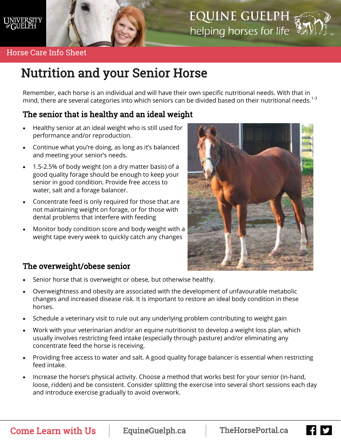

## **EQUINE GUELPH** helping horses for life WW



#### Horse Care Info Sheet

# Nutrition and your Senior Horse

Remember, each horse is an individual and will have their own specific nutritional needs. With that in mind, there are several categories into which seniors can be divided based on their nutritional needs.<sup>1-3</sup>

## The senior that is healthy and an ideal weight

- Healthy senior at an ideal weight who is still used for performance and/or reproduction.
- Continue what you're doing, as long as it's balanced and meeting your senior's needs.
- 1.5-2.5% of body weight (on a dry matter basis) of a good quality forage should be enough to keep your senior in good condition. Provide free access to water, salt and a forage balancer.
- Concentrate feed is only required for those that are not maintaining weight on forage, or for those with dental problems that interfere with feeding
- Monitor body condition score and body weight with a weight tape every week to quickly catch any changes



## The overweight/obese senior

- Senior horse that is overweight or obese, but otherwise healthy.
- Overweightness and obesity are associated with the development of unfavourable metabolic changes and increased disease risk. It is important to restore an ideal body condition in these horses.
- Schedule a veterinary visit to rule out any underlying problem contributing to weight gain
- Work with your veterinarian and/or an equine nutritionist to develop a weight loss plan, which usually involves restricting feed intake (especially through pasture) and/or eliminating any concentrate feed the horse is receiving.
- Providing free access to water and salt. A good quality forage balancer is essential when restricting feed intake.
- Increase the horse's physical activity. Choose a method that works best for your senior (in-hand, loose, ridden) and be consistent. Consider splitting the exercise into several short sessions each day and introduce exercise gradually to avoid overwork.

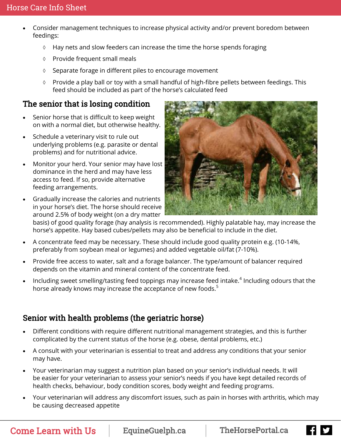- Consider management techniques to increase physical activity and/or prevent boredom between feedings:
	- $\Diamond$  Hay nets and slow feeders can increase the time the horse spends foraging
	- Provide frequent small meals
	- $\Diamond$  Separate forage in different piles to encourage movement
	- ◊ Provide a play ball or toy with a small handful of high-fibre pellets between feedings. This feed should be included as part of the horse's calculated feed

## The senior that is losing condition

- Senior horse that is difficult to keep weight on with a normal diet, but otherwise healthy.
- Schedule a veterinary visit to rule out underlying problems (e.g. parasite or dental problems) and for nutritional advice.
- Monitor your herd. Your senior may have lost dominance in the herd and may have less access to feed. If so, provide alternative feeding arrangements.
- Gradually increase the calories and nutrients in your horse's diet. The horse should receive around 2.5% of body weight (on a dry matter



basis) of good quality forage (hay analysis is recommended). Highly palatable hay, may increase the horse's appetite. Hay based cubes/pellets may also be beneficial to include in the diet.

- A concentrate feed may be necessary. These should include good quality protein e.g. (10-14%, preferably from soybean meal or legumes) and added vegetable oil/fat (7-10%).
- Provide free access to water, salt and a forage balancer. The type/amount of balancer required depends on the vitamin and mineral content of the concentrate feed.
- $\bullet$  Including sweet smelling/tasting feed toppings may increase feed intake.<sup>4</sup> Including odours that the horse already knows may increase the acceptance of new foods. $5$

## Senior with health problems (the geriatric horse)

- Different conditions with require different nutritional management strategies, and this is further complicated by the current status of the horse (e.g. obese, dental problems, etc.)
- A consult with your veterinarian is essential to treat and address any conditions that your senior may have.
- Your veterinarian may suggest a nutrition plan based on your senior's individual needs. It will be easier for your veterinarian to assess your senior's needs if you have kept detailed records of health checks, behaviour, body condition scores, body weight and feeding programs.
- Your veterinarian will address any discomfort issues, such as pain in horses with arthritis, which may be causing decreased appetite

Come Learn with Us EquineGuelph.ca | TheHorsePortal.ca